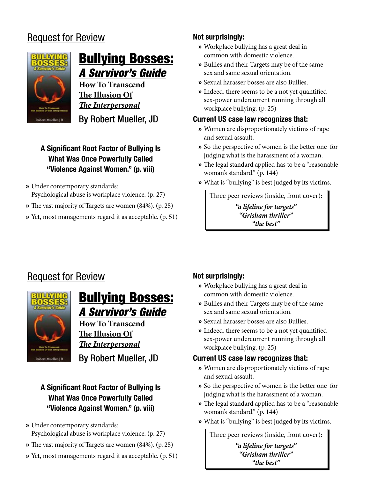# Request for Review



# **Bullying Bosses:** A Survivor's Guide

**How To Transcend The Illusion Of**  *The Interpersonal*

By Robert Mueller, JD

## **A Significant Root Factor of Bullying Is What Was Once Powerfully Called "Violence Against Women." (p. viii)**

- Under contemporary standards: » Psychological abuse is workplace violence. (p. 27)
- The vast majority of Targets are women (84%). (p. 25) »
- » Yet, most managements regard it as acceptable. (p. 51)

### **Not surprisingly:**

- Workplace bullying has a great deal in » common with domestic violence.
- » Bullies and their Targets may be of the same sex and same sexual orientation.
- Sexual harasser bosses are also Bullies. »
- » Indeed, there seems to be a not yet quantified sex-power undercurrent running through all workplace bullying. (p. 25)

## **Current US case law recognizes that:**

- Women are disproportionately victims of rape » and sexual assault.
- So the perspective of women is the better one for » judging what is the harassment of a woman.
- The legal standard applied has to be a "reasonable » woman's standard." (p. 144)
- What is "bullying" is best judged by its victims. »

Three peer reviews (inside, front cover): *"a lifeline for targets" "Grisham thriller" "the best"*